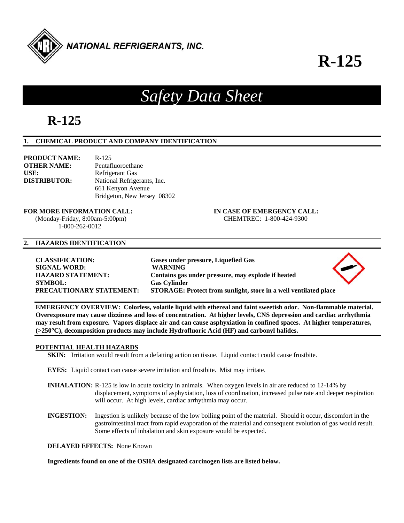

# **R-125**

## *Safety Data Sheet*

### **R-125**

#### **1. CHEMICAL PRODUCT AND COMPANY IDENTIFICATION**

| <b>PRODUCT NAME:</b> | $R - 125$                   |
|----------------------|-----------------------------|
| <b>OTHER NAME:</b>   | Pentafluoroethane           |
| USE:                 | Refrigerant Gas             |
| <b>DISTRIBUTOR:</b>  | National Refrigerants, Inc. |
|                      | 661 Kenyon Avenue           |
|                      | Bridgeton, New Jersey 08302 |

### **FOR MORE INFORMATION CALL: IN CASE OF EMERGENCY CALL:**

 (Monday-Friday, 8:00am-5:00pm) CHEMTREC: 1-800-424-9300 1-800-262-0012

#### **2. HAZARDS IDENTIFICATION**

**CLASSIFICATION: Gases under pressure, Liquefied Gas SIGNAL WORD: WARNING HAZARD STATEMENT: Contains gas under pressure, may explode if heated SYMBOL: Gas Cylinder PRECAUTIONARY STATEMENT: STORAGE: Protect from sunlight, store in a well ventilated place** 

**EMERGENCY OVERVIEW: Colorless, volatile liquid with ethereal and faint sweetish odor. Non-flammable material. Overexposure may cause dizziness and loss of concentration. At higher levels, CNS depression and cardiac arrhythmia may result from exposure. Vapors displace air and can cause asphyxiation in confined spaces. At higher temperatures, (>250C), decomposition products may include Hydrofluoric Acid (HF) and carbonyl halides.** 

#### **POTENTIAL HEALTH HAZARDS**

**SKIN:** Irritation would result from a defatting action on tissue. Liquid contact could cause frostbite.

**EYES:** Liquid contact can cause severe irritation and frostbite. Mist may irritate.

- **INHALATION:** R-125 is low in acute toxicity in animals. When oxygen levels in air are reduced to 12-14% by displacement, symptoms of asphyxiation, loss of coordination, increased pulse rate and deeper respiration will occur. At high levels, cardiac arrhythmia may occur.
- **INGESTION:** Ingestion is unlikely because of the low boiling point of the material. Should it occur, discomfort in the gastrointestinal tract from rapid evaporation of the material and consequent evolution of gas would result. Some effects of inhalation and skin exposure would be expected.

**DELAYED EFFECTS:** None Known

**Ingredients found on one of the OSHA designated carcinogen lists are listed below.**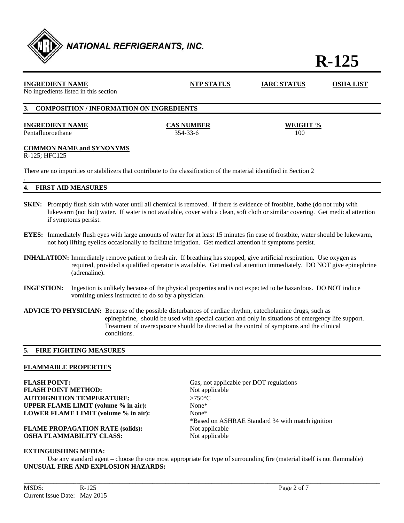

## **R-125**

| <b>INGREDIENT NAME</b><br>No ingredients listed in this section                                                      | <b>NTP STATUS</b>             | <b>IARC STATUS</b> | <b>OSHA LIST</b> |
|----------------------------------------------------------------------------------------------------------------------|-------------------------------|--------------------|------------------|
| <b>COMPOSITION / INFORMATION ON INGREDIENTS</b><br><b>3.</b>                                                         |                               |                    |                  |
| <b>INGREDIENT NAME</b><br>Pentafluoroethane                                                                          | <b>CAS NUMBER</b><br>354-33-6 | WEIGHT %<br>100    |                  |
| <b>COMMON NAME and SYNONYMS</b><br>R-125; HFC125                                                                     |                               |                    |                  |
| There are no impurities or stabilizers that contribute to the classification of the material identified in Section 2 |                               |                    |                  |

**4. FIRST AID MEASURES** 

.

- **SKIN:** Promptly flush skin with water until all chemical is removed. If there is evidence of frostbite, bathe (do not rub) with lukewarm (not hot) water. If water is not available, cover with a clean, soft cloth or similar covering. Get medical attention if symptoms persist.
- **EYES:** Immediately flush eyes with large amounts of water for at least 15 minutes (in case of frostbite, water should be lukewarm, not hot) lifting eyelids occasionally to facilitate irrigation. Get medical attention if symptoms persist.
- **INHALATION:** Immediately remove patient to fresh air. If breathing has stopped, give artificial respiration. Use oxygen as required, provided a qualified operator is available. Get medical attention immediately. DO NOT give epinephrine (adrenaline).
- **INGESTION:** Ingestion is unlikely because of the physical properties and is not expected to be hazardous. DO NOT induce vomiting unless instructed to do so by a physician.
- **ADVICE TO PHYSICIAN:** Because of the possible disturbances of cardiac rhythm, catecholamine drugs, such as epinephrine, should be used with special caution and only in situations of emergency life support. Treatment of overexposure should be directed at the control of symptoms and the clinical conditions.

#### **5. FIRE FIGHTING MEASURES**

### **FLAMMABLE PROPERTIES**

**FLASH POINT:** Gas, not applicable per DOT regulations **FLASH POINT METHOD:** Not applicable **AUTOIGNITION TEMPERATURE:** >750°C **UPPER FLAME LIMIT (volume % in air):** None\* **LOWER FLAME LIMIT (volume % in air):** None\*

**FLAME PROPAGATION RATE (solids):** Not applicable **OSHA FLAMMABILITY CLASS:** Not applicable

\*Based on ASHRAE Standard 34 with match ignition

#### **EXTINGUISHING MEDIA:**

 Use any standard agent – choose the one most appropriate for type of surrounding fire (material itself is not flammable) **UNUSUAL FIRE AND EXPLOSION HAZARDS:** 

**\_\_\_\_\_\_\_\_\_\_\_\_\_\_\_\_\_\_\_\_\_\_\_\_\_\_\_\_\_\_\_\_\_\_\_\_\_\_\_\_\_\_\_\_\_\_\_\_\_\_\_\_\_\_\_\_\_\_\_\_\_\_\_\_\_\_\_\_\_\_\_\_\_\_\_\_\_\_\_\_\_\_\_\_\_\_\_\_\_\_\_\_\_\_\_\_\_\_\_\_\_\_\_\_\_\_\_\_**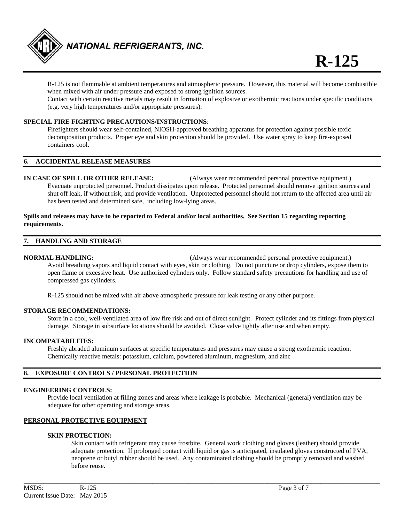

 R-125 is not flammable at ambient temperatures and atmospheric pressure. However, this material will become combustible when mixed with air under pressure and exposed to strong ignition sources.

Contact with certain reactive metals may result in formation of explosive or exothermic reactions under specific conditions (e.g. very high temperatures and/or appropriate pressures).

#### **SPECIAL FIRE FIGHTING PRECAUTIONS/INSTRUCTIONS**:

 Firefighters should wear self-contained, NIOSH-approved breathing apparatus for protection against possible toxic decomposition products. Proper eye and skin protection should be provided. Use water spray to keep fire-exposed containers cool.

#### **6. ACCIDENTAL RELEASE MEASURES**

**IN CASE OF SPILL OR OTHER RELEASE:** (Always wear recommended personal protective equipment.) Evacuate unprotected personnel. Product dissipates upon release. Protected personnel should remove ignition sources and shut off leak, if without risk, and provide ventilation. Unprotected personnel should not return to the affected area until air has been tested and determined safe, including low-lying areas.

#### **Spills and releases may have to be reported to Federal and/or local authorities. See Section 15 regarding reporting requirements.**

#### **7. HANDLING AND STORAGE**

**NORMAL HANDLING:** (Always wear recommended personal protective equipment.) Avoid breathing vapors and liquid contact with eyes, skin or clothing. Do not puncture or drop cylinders, expose them to open flame or excessive heat. Use authorized cylinders only. Follow standard safety precautions for handling and use of compressed gas cylinders.

R-125 should not be mixed with air above atmospheric pressure for leak testing or any other purpose.

#### **STORAGE RECOMMENDATIONS:**

 Store in a cool, well-ventilated area of low fire risk and out of direct sunlight. Protect cylinder and its fittings from physical damage. Storage in subsurface locations should be avoided. Close valve tightly after use and when empty.

#### **INCOMPATABILITES:**

Freshly abraded aluminum surfaces at specific temperatures and pressures may cause a strong exothermic reaction. Chemically reactive metals: potassium, calcium, powdered aluminum, magnesium, and zinc

#### **8. EXPOSURE CONTROLS / PERSONAL PROTECTION**

#### **ENGINEERING CONTROLS:**

 Provide local ventilation at filling zones and areas where leakage is probable. Mechanical (general) ventilation may be adequate for other operating and storage areas.

**\_\_\_\_\_\_\_\_\_\_\_\_\_\_\_\_\_\_\_\_\_\_\_\_\_\_\_\_\_\_\_\_\_\_\_\_\_\_\_\_\_\_\_\_\_\_\_\_\_\_\_\_\_\_\_\_\_\_\_\_\_\_\_\_\_\_\_\_\_\_\_\_\_\_\_\_\_\_\_\_\_\_\_\_\_\_\_\_\_\_\_\_\_\_\_\_\_\_\_\_\_\_\_\_\_\_\_\_** 

#### **PERSONAL PROTECTIVE EQUIPMENT**

#### **SKIN PROTECTION:**

 Skin contact with refrigerant may cause frostbite. General work clothing and gloves (leather) should provide adequate protection. If prolonged contact with liquid or gas is anticipated, insulated gloves constructed of PVA, neoprene or butyl rubber should be used. Any contaminated clothing should be promptly removed and washed before reuse.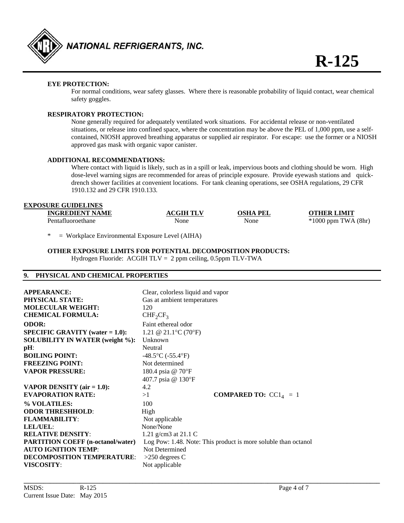

#### **EYE PROTECTION:**

For normal conditions, wear safety glasses. Where there is reasonable probability of liquid contact, wear chemical safety goggles.

#### **RESPIRATORY PROTECTION:**

 None generally required for adequately ventilated work situations. For accidental release or non-ventilated situations, or release into confined space, where the concentration may be above the PEL of 1,000 ppm, use a self contained, NIOSH approved breathing apparatus or supplied air respirator. For escape: use the former or a NIOSH approved gas mask with organic vapor canister.

#### **ADDITIONAL RECOMMENDATIONS:**

Where contact with liquid is likely, such as in a spill or leak, impervious boots and clothing should be worn. High dose-level warning signs are recommended for areas of principle exposure. Provide eyewash stations and quick drench shower facilities at convenient locations. For tank cleaning operations, see OSHA regulations, 29 CFR 1910.132 and 29 CFR 1910.133.

#### **EXPOSURE GUIDELINES**

| <b>INGREDIENT NAME</b> | GIH TLV | OSHA<br>PEL | OTHER LIMIT                |
|------------------------|---------|-------------|----------------------------|
| Pentatluoroethane      | None    | None        | (8hr)<br>TWA<br>$1000$ ppm |

= Workplace Environmental Exposure Level (AIHA)

#### **OTHER EXPOSURE LIMITS FOR POTENTIAL DECOMPOSITION PRODUCTS:**

Hydrogen Fluoride: ACGIH TLV = 2 ppm ceiling, 0.5ppm TLV-TWA

#### **9. PHYSICAL AND CHEMICAL PROPERTIES**

| <b>APPEARANCE:</b>                                                                                            | Clear, colorless liquid and vapor                                                                        |
|---------------------------------------------------------------------------------------------------------------|----------------------------------------------------------------------------------------------------------|
| <b>PHYSICAL STATE:</b>                                                                                        | Gas at ambient temperatures                                                                              |
| <b>MOLECULAR WEIGHT:</b>                                                                                      | 120                                                                                                      |
| <b>CHEMICAL FORMULA:</b>                                                                                      | CHF <sub>2</sub> CF <sub>3</sub>                                                                         |
| <b>ODOR:</b>                                                                                                  | Faint ethereal odor                                                                                      |
| <b>SPECIFIC GRAVITY</b> (water $= 1.0$ ):                                                                     | 1.21 @ 21.1 °C (70 °F)                                                                                   |
| <b>SOLUBILITY IN WATER (weight %):</b>                                                                        | Unknown                                                                                                  |
| $pH$ :                                                                                                        | Neutral                                                                                                  |
| <b>BOILING POINT:</b>                                                                                         | $-48.5$ °C ( $-55.4$ °F)                                                                                 |
| <b>FREEZING POINT:</b><br><b>VAPOR PRESSURE:</b><br>VAPOR DENSITY $(air = 1.0)$ :<br><b>EVAPORATION RATE:</b> | Not determined<br>180.4 psia @ 70°F<br>407.7 psia @ 130°F<br>4.2<br><b>COMPARED TO:</b> $CC14 = 1$<br>>1 |
| % VOLATILES:                                                                                                  | 100                                                                                                      |
| <b>ODOR THRESHHOLD:</b>                                                                                       | High                                                                                                     |
| <b>FLAMMABILITY:</b>                                                                                          | Not applicable                                                                                           |
| <b>LEL/UEL:</b>                                                                                               | None/None                                                                                                |
| <b>RELATIVE DENSITY:</b>                                                                                      | 1.21 g/cm3 at $21.1 \text{ C}$                                                                           |
| <b>PARTITION COEFF (n-octanol/water)</b>                                                                      | Log Pow: 1.48. Note: This product is more soluble than octanol                                           |
| <b>AUTO IGNITION TEMP:</b>                                                                                    | Not Determined                                                                                           |
| <b>DECOMPOSITION TEMPERATURE:</b>                                                                             | $>250$ degrees C                                                                                         |
| <b>VISCOSITY:</b>                                                                                             | Not applicable                                                                                           |

**\_\_\_\_\_\_\_\_\_\_\_\_\_\_\_\_\_\_\_\_\_\_\_\_\_\_\_\_\_\_\_\_\_\_\_\_\_\_\_\_\_\_\_\_\_\_\_\_\_\_\_\_\_\_\_\_\_\_\_\_\_\_\_\_\_\_\_\_\_\_\_\_\_\_\_\_\_\_\_\_\_\_\_\_\_\_\_\_\_\_\_\_\_\_\_\_\_\_\_\_\_\_\_\_\_\_\_\_**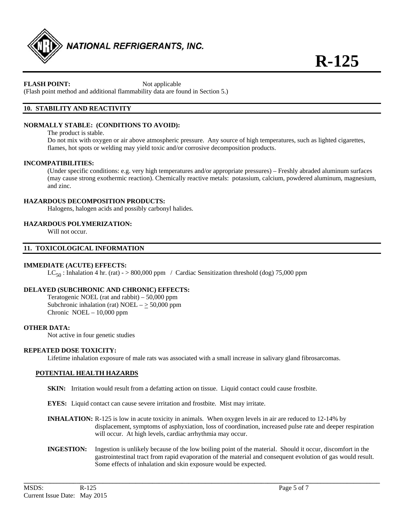

#### **FLASH POINT:** Not applicable

(Flash point method and additional flammability data are found in Section 5.)

### **10. STABILITY AND REACTIVITY**

#### **NORMALLY STABLE: (CONDITIONS TO AVOID):**

The product is stable.

Do not mix with oxygen or air above atmospheric pressure. Any source of high temperatures, such as lighted cigarettes, flames, hot spots or welding may yield toxic and/or corrosive decomposition products.

#### **INCOMPATIBILITIES:**

 (Under specific conditions: e.g. very high temperatures and/or appropriate pressures) – Freshly abraded aluminum surfaces (may cause strong exothermic reaction). Chemically reactive metals: potassium, calcium, powdered aluminum, magnesium, and zinc.

#### **HAZARDOUS DECOMPOSITION PRODUCTS:**

Halogens, halogen acids and possibly carbonyl halides.

#### **HAZARDOUS POLYMERIZATION:**

Will not occur.

#### **11. TOXICOLOGICAL INFORMATION**

#### **IMMEDIATE (ACUTE) EFFECTS:**

 $LC_{50}$ : Inhalation 4 hr. (rat) - > 800,000 ppm / Cardiac Sensitization threshold (dog) 75,000 ppm

#### **DELAYED (SUBCHRONIC AND CHRONIC) EFFECTS:**

 Teratogenic NOEL (rat and rabbit) – 50,000 ppm Subchronic inhalation (rat) NOEL  $-\geq$  50,000 ppm Chronic  $NOEL - 10,000$  ppm

#### **OTHER DATA:**

Not active in four genetic studies

#### **REPEATED DOSE TOXICITY:**

Lifetime inhalation exposure of male rats was associated with a small increase in salivary gland fibrosarcomas.

#### **POTENTIAL HEALTH HAZARDS**

- **SKIN:** Irritation would result from a defatting action on tissue. Liquid contact could cause frostbite.
- **EYES:** Liquid contact can cause severe irritation and frostbite. Mist may irritate.
- **INHALATION:** R-125 is low in acute toxicity in animals. When oxygen levels in air are reduced to 12-14% by displacement, symptoms of asphyxiation, loss of coordination, increased pulse rate and deeper respiration will occur. At high levels, cardiac arrhythmia may occur.
- **INGESTION:** Ingestion is unlikely because of the low boiling point of the material. Should it occur, discomfort in the gastrointestinal tract from rapid evaporation of the material and consequent evolution of gas would result. Some effects of inhalation and skin exposure would be expected.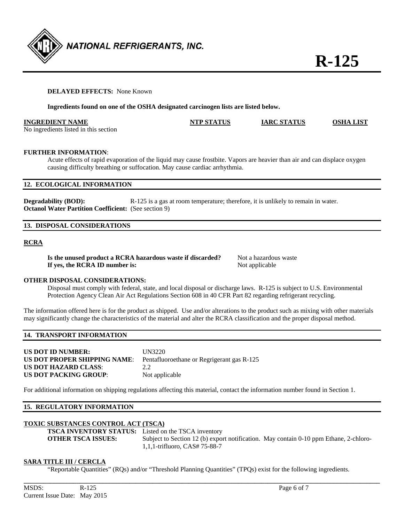

#### **DELAYED EFFECTS:** None Known

**Ingredients found on one of the OSHA designated carcinogen lists are listed below.** 

| <b>INGREDIENT NAME</b>                | <b>NTP STATUS</b> | <b>IARC STATUS</b> | <b>OSHA LIST</b> |
|---------------------------------------|-------------------|--------------------|------------------|
| No ingredients listed in this section |                   |                    |                  |

#### **FURTHER INFORMATION**:

Acute effects of rapid evaporation of the liquid may cause frostbite. Vapors are heavier than air and can displace oxygen causing difficulty breathing or suffocation. May cause cardiac arrhythmia.

#### **12. ECOLOGICAL INFORMATION**

**Degradability (BOD):** R-125 is a gas at room temperature; therefore, it is unlikely to remain in water. **Octanol Water Partition Coefficient:** (See section 9)

### **13. DISPOSAL CONSIDERATIONS**

#### **RCRA**

| Is the unused product a RCRA hazardous waste if discarded? |  |
|------------------------------------------------------------|--|
| If yes, the RCRA ID number is:                             |  |

Not a hazardous waste **Not applicable** 

#### **OTHER DISPOSAL CONSIDERATIONS:**

 Disposal must comply with federal, state, and local disposal or discharge laws. R-125 is subject to U.S. Environmental Protection Agency Clean Air Act Regulations Section 608 in 40 CFR Part 82 regarding refrigerant recycling.

The information offered here is for the product as shipped. Use and/or alterations to the product such as mixing with other materials may significantly change the characteristics of the material and alter the RCRA classification and the proper disposal method.

#### **14. TRANSPORT INFORMATION**

| <b>US DOT ID NUMBER:</b>     | UN3220                                     |
|------------------------------|--------------------------------------------|
| US DOT PROPER SHIPPING NAME: | Pentafluoroethane or Regrigerant gas R-125 |
| US DOT HAZARD CLASS:         | 22                                         |
| <b>US DOT PACKING GROUP:</b> | Not applicable                             |

For additional information on shipping regulations affecting this material, contact the information number found in Section 1.

#### **15. REGULATORY INFORMATION**

#### **TOXIC SUBSTANCES CONTROL ACT (TSCA)**

**TSCA INVENTORY STATUS:** Listed on the TSCA inventory

**OTHER TSCA ISSUES:** Subject to Section 12 (b) export notification. May contain 0-10 ppm Ethane, 2-chloro-1,1,1-trifluoro, CAS# 75-88-7

#### **SARA TITLE III / CERCLA**

"Reportable Quantities" (RQs) and/or "Threshold Planning Quantities" (TPQs) exist for the following ingredients.

**\_\_\_\_\_\_\_\_\_\_\_\_\_\_\_\_\_\_\_\_\_\_\_\_\_\_\_\_\_\_\_\_\_\_\_\_\_\_\_\_\_\_\_\_\_\_\_\_\_\_\_\_\_\_\_\_\_\_\_\_\_\_\_\_\_\_\_\_\_\_\_\_\_\_\_\_\_\_\_\_\_\_\_\_\_\_\_\_\_\_\_\_\_\_\_\_\_\_\_\_\_\_\_\_\_\_\_\_**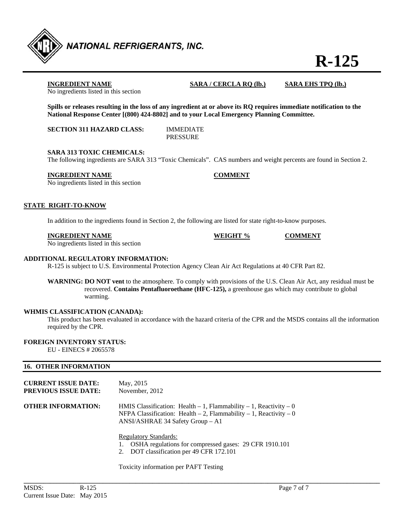

**R-125**

No ingredients listed in this section

**INGREDIENT NAME SARA / CERCLA RQ (lb.) SARA EHS TPQ (lb.)**

**Spills or releases resulting in the loss of any ingredient at or above its RQ requires immediate notification to the National Response Center [(800) 424-8802] and to your Local Emergency Planning Committee.** 

**SECTION 311 HAZARD CLASS:** IMMEDIATE

PRESSURE

#### **SARA 313 TOXIC CHEMICALS:**

The following ingredients are SARA 313 "Toxic Chemicals". CAS numbers and weight percents are found in Section 2.

#### **INGREDIENT NAME COMMENT**

No ingredients listed in this section

#### **STATE RIGHT-TO-KNOW**

In addition to the ingredients found in Section 2, the following are listed for state right-to-know purposes.

#### **INGREDIENT NAME WEIGHT % COMMENT**

No ingredients listed in this section

#### **ADDITIONAL REGULATORY INFORMATION:**

R-125 is subject to U.S. Environmental Protection Agency Clean Air Act Regulations at 40 CFR Part 82.

**WARNING: DO NOT vent** to the atmosphere. To comply with provisions of the U.S. Clean Air Act, any residual must be recovered. **Contains Pentafluoroethane (HFC-125),** a greenhouse gas which may contribute to global warming.

#### **WHMIS CLASSIFICATION (CANADA):**

 This product has been evaluated in accordance with the hazard criteria of the CPR and the MSDS contains all the information required by the CPR.

#### **FOREIGN INVENTORY STATUS:**

EU - EINECS # 2065578

#### **16. OTHER INFORMATION**

| <b>CURRENT ISSUE DATE:</b><br><b>PREVIOUS ISSUE DATE:</b> | May, 2015<br>November, 2012                                                                                                                                                          |
|-----------------------------------------------------------|--------------------------------------------------------------------------------------------------------------------------------------------------------------------------------------|
| <b>OTHER INFORMATION:</b>                                 | HMIS Classification: Health $-1$ , Flammability $-1$ , Reactivity $-0$<br>NFPA Classification: Health $-2$ , Flammability $-1$ , Reactivity $-0$<br>ANSI/ASHRAE 34 Safety Group - A1 |
|                                                           | <b>Regulatory Standards:</b><br>OSHA regulations for compressed gases: 29 CFR 1910.101                                                                                               |

2. DOT classification per 49 CFR 172.101

**\_\_\_\_\_\_\_\_\_\_\_\_\_\_\_\_\_\_\_\_\_\_\_\_\_\_\_\_\_\_\_\_\_\_\_\_\_\_\_\_\_\_\_\_\_\_\_\_\_\_\_\_\_\_\_\_\_\_\_\_\_\_\_\_\_\_\_\_\_\_\_\_\_\_\_\_\_\_\_\_\_\_\_\_\_\_\_\_\_\_\_\_\_\_\_\_\_\_\_\_\_\_\_\_\_\_\_\_** 

Toxicity information per PAFT Testing